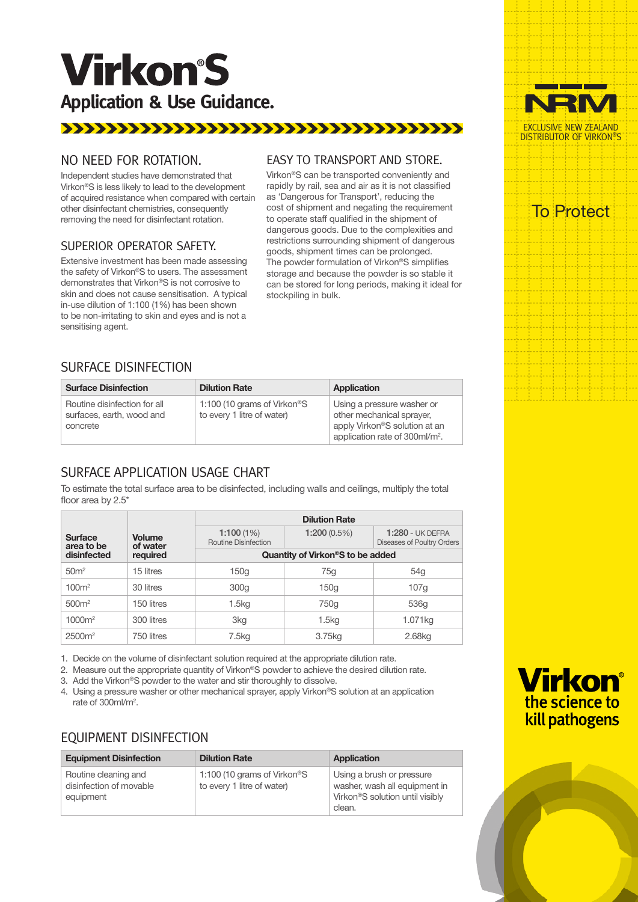# **Virkon'S Application & Use Guidance.**

## 

### NO NEED FOR ROTATION.

Independent studies have demonstrated that Virkon®S is less likely to lead to the development of acquired resistance when compared with certain other disinfectant chemistries, consequently removing the need for disinfectant rotation.

#### SUPERIOR OPERATOR SAFETY.

Extensive investment has been made assessing the safety of Virkon®S to users. The assessment demonstrates that Virkon®S is not corrosive to skin and does not cause sensitisation. A typical in-use dilution of 1:100 (1%) has been shown to be non-irritating to skin and eyes and is not a sensitising agent.

#### EASY TO TRANSPORT AND STORE.

Virkon®S can be transported conveniently and rapidly by rail, sea and air as it is not classified as 'Dangerous for Transport', reducing the cost of shipment and negating the requirement to operate staff qualified in the shipment of dangerous goods. Due to the complexities and restrictions surrounding shipment of dangerous goods, shipment times can be prolonged. The powder formulation of Virkon®S simplifies storage and because the powder is so stable it can be stored for long periods, making it ideal for stockpiling in bulk.

## SURFACE DISINFECTION

| <b>Surface Disinfection</b>                                           | <b>Dilution Rate</b>                                                   | Application                                                                                                                            |
|-----------------------------------------------------------------------|------------------------------------------------------------------------|----------------------------------------------------------------------------------------------------------------------------------------|
| Routine disinfection for all<br>surfaces, earth, wood and<br>concrete | 1:100 (10 grams of Virkon <sup>®</sup> S<br>to every 1 litre of water) | Using a pressure washer or<br>other mechanical sprayer,<br>apply Virkon®S solution at an<br>application rate of 300ml/m <sup>2</sup> . |

## SURFACE APPLICATION USAGE CHART

To estimate the total surface area to be disinfected, including walls and ceilings, multiply the total floor area by 2.5\*

|                                                           |                                          | <b>Dilution Rate</b>                          |                                                       |                    |  |
|-----------------------------------------------------------|------------------------------------------|-----------------------------------------------|-------------------------------------------------------|--------------------|--|
| <b>Volume</b><br><b>Surface</b><br>of water<br>area to be | 1:100(1%)<br><b>Routine Disinfection</b> | $1:200(0.5\%)$                                | <b>1:280 - UK DEFRA</b><br>Diseases of Poultry Orders |                    |  |
| disinfected<br>required                                   |                                          | Quantity of Virkon <sup>®</sup> S to be added |                                                       |                    |  |
| 50 <sup>m²</sup>                                          | 15 litres                                | 150 <sub>g</sub>                              | 75g                                                   | 54g                |  |
| 100 <sup>m²</sup>                                         | 30 litres                                | 300g                                          | 150 <sub>g</sub>                                      | 107q               |  |
| 500 <sup>m²</sup>                                         | 150 litres                               | 1.5 <sub>kg</sub>                             | 750g                                                  | 536g               |  |
| 1000m <sup>2</sup>                                        | 300 litres                               | 3kg                                           | 1.5 <sub>kq</sub>                                     | 1.071kg            |  |
| 2500 <sup>m²</sup>                                        | 750 litres                               | 7.5kg                                         | 3.75kg                                                | 2.68 <sub>kg</sub> |  |

1. Decide on the volume of disinfectant solution required at the appropriate dilution rate.

2. Measure out the appropriate quantity of Virkon®S powder to achieve the desired dilution rate.

3. Add the Virkon®S powder to the water and stir thoroughly to dissolve.

4. Using a pressure washer or other mechanical sprayer, apply Virkon®S solution at an application rate of 300ml/m<sup>2</sup>.

## EQUIPMENT DISINFECTION

| <b>Equipment Disinfection</b>                                | <b>Dilution Rate</b>                                                   | Application                                                                                             |
|--------------------------------------------------------------|------------------------------------------------------------------------|---------------------------------------------------------------------------------------------------------|
| Routine cleaning and<br>disinfection of movable<br>equipment | 1:100 (10 grams of Virkon <sup>®</sup> S<br>to every 1 litre of water) | Using a brush or pressure<br>washer, wash all equipment in<br>Virkon®S solution until visibly<br>clean. |